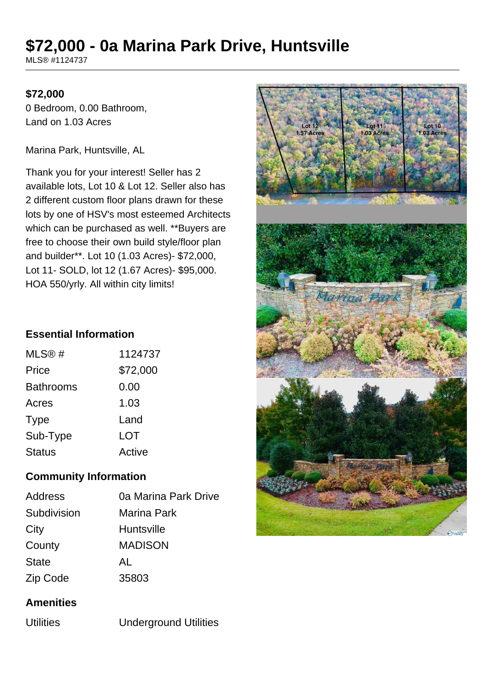# **\$72,000 - 0a Marina Park Drive, Huntsville**

MLS® #1124737

#### **\$72,000**

0 Bedroom, 0.00 Bathroom, Land on 1.03 Acres

Marina Park, Huntsville, AL

Thank you for your interest! Seller has 2 available lots, Lot 10 & Lot 12. Seller also has 2 different custom floor plans drawn for these lots by one of HSV's most esteemed Architects which can be purchased as well. \*\*Buyers are free to choose their own build style/floor plan and builder\*\*. Lot 10 (1.03 Acres)- \$72,000, Lot 11- SOLD, lot 12 (1.67 Acres)- \$95,000. HOA 550/yrly. All within city limits!

## **Essential Information**

| MLS@#         | 1124737  |
|---------------|----------|
| Price         | \$72,000 |
| Bathrooms     | 0.00     |
| Acres         | 1.03     |
| <b>Type</b>   | Land     |
| Sub-Type      | LOT      |
| <b>Status</b> | Active   |

## **Community Information**

| <b>Address</b> | 0a Marina Park Drive |
|----------------|----------------------|
| Subdivision    | Marina Park          |
| City           | <b>Huntsville</b>    |
| County         | <b>MADISON</b>       |
| <b>State</b>   | AL                   |
| Zip Code       | 35803                |

#### **Amenities**

Utilities Underground Utilities